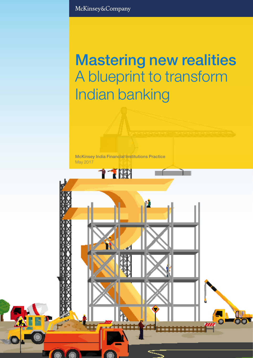McKinsey&Company

# Mastering new realities A blueprint to transform Indian banking

Mastering new realities 1

McKinsey India Financial Institutions Practice May 2017

**11W**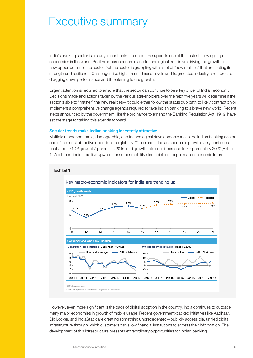# Executive summary

India's banking sector is a study in contrasts. The industry supports one of the fastest growing large economies in the world. Positive macroeconomic and technological trends are driving the growth of new opportunities in the sector. Yet the sector is grappling with a set of "new realities" that are testing its strength and resilience. Challenges like high stressed asset levels and fragmented industry structure are dragging down performance and threatening future growth.

Urgent attention is required to ensure that the sector can continue to be a key driver of Indian economy. Decisions made and actions taken by the various stakeholders over the next five years will determine if the sector is able to "master" the new realities—it could either follow the status quo path to likely contraction or implement a comprehensive change agenda required to take Indian banking to a brave new world. Recent steps announced by the government, like the ordinance to amend the Banking Regulation Act, 1949, have set the stage for taking this agenda forward.

#### Secular trends make Indian banking inherently attractive

Exhibit 1

Multiple macroeconomic, demographic, and technological developments make the Indian banking sector one of the most attractive opportunities globally. The broader Indian economic growth story continues unabated—GDP grew at 7 percent in 2016, and growth rate could increase to 7.7 percent by 2020 (Exhibit 1). Additional indicators like upward consumer mobility also point to a bright macroeconomic future.



## Key macro-economic indicators for India are trending up

However, even more significant is the pace of digital adoption in the country. India continues to outpace many major economies in growth of mobile usage. Recent government-backed initiatives like Aadhaar, DigiLocker, and IndiaStack are creating something unprecedented—publicly accessible, unified digital infrastructure through which customers can allow financial institutions to access their information. The development of this infrastructure presents extraordinary opportunities for Indian banking.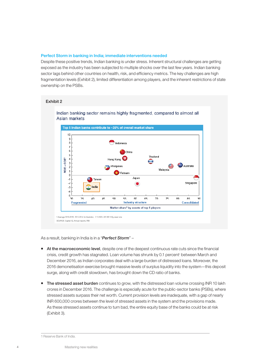#### Perfect Storm in banking in India; immediate interventions needed

Despite these positive trends, Indian banking is under stress. Inherent structural challenges are getting exposed as the industry has been subjected to multiple shocks over the last few years. Indian banking sector lags behind other countries on health, risk, and efficiency metrics. The key challenges are high fragmentation levels (Exhibit 2), limited differentiation among players, and the inherent restrictions of state ownership on the PSBs.



As a result, banking in India is in a "*Perfect Storm*" –

- At the macroeconomic level, despite one of the deepest continuous rate cuts since the financial crisis, credit growth has stagnated. Loan volume has shrunk by 0.1 percent<sup>,</sup> between March and December 2016, as Indian corporates deal with a large burden of distressed loans. Moreover, the 2016 demonetisation exercise brought massive levels of surplus liquidity into the system—this deposit surge, along with credit slowdown, has brought down the CD ratio of banks.
- The stressed asset burden continues to grow, with the distressed loan volume crossing INR 10 lakh crores in December 2016. The challenge is especially acute for the public-sector banks (PSBs), where stressed assets surpass their net worth. Current provision levels are inadequate, with a gap of nearly INR 600,000 crores between the level of stressed assets in the system and the provisions made. As these stressed assets continue to turn bad, the entire equity base of the banks could be at risk (Exhibit 3).

<sup>1</sup>Reserve Bank of India.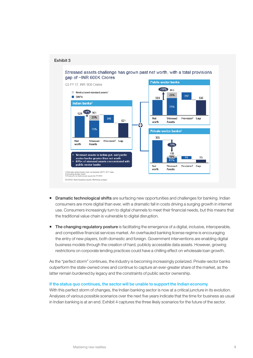

- **Dramatic technological shifts** are surfacing new opportunities and challenges for banking. Indian consumers are more digital than ever, with a dramatic fall in costs driving a surging growth in internet use. Consumers increasingly turn to digital channels to meet their financial needs, but this means that the traditional value chain is vulnerable to digital disruption.
- The changing regulatory posture is facilitating the emergence of a digital, inclusive, interoperable, and competitive financial services market. An overhauled banking license regime is encouraging the entry of new players, both domestic and foreign. Government interventions are enabling digital business models through the creation of hard, publicly accessible data assets. However, growing restrictions on corporate lending practices could have a chilling effect on wholesale loan growth.

As the "perfect storm" continues, the industry is becoming increasingly polarized. Private-sector banks outperform the state-owned ones and continue to capture an ever-greater share of the market, as the latter remain burdened by legacy and the constraints of public sector ownership.

#### If the status quo continues, the sector will be unable to support the Indian economy

With this perfect storm of changes, the Indian banking sector is now at a critical juncture in its evolution. Analyses of various possible scenarios over the next five years indicate that the time for business as usual in Indian banking is at an end. Exhibit 4 captures the three likely scenarios for the future of the sector.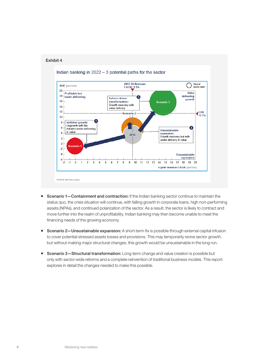



- **Scenario 1–Containment and contraction:** If the Indian banking sector continue to maintain the status quo, the crisis situation will continue, with falling growth in corporate loans, high non-performing assets (NPAs), and continued polarization of the sector. As a result, the sector is likely to contract and move further into the realm of unprofitability. Indian banking may then become unable to meet the financing needs of the growing economy.
- Scenario 2-Unsustainable expansion: A short-term fix is possible through external capital infusion to cover potential stressed assets losses and provisions. This may temporarily revive sector growth, but without making major structural changes, this growth would be unsustainable in the long run.
- **Scenario 3-Structural transformation:** Long-term change and value creation is possible but only with sector-wide reforms and a complete reinvention of traditional business models. This report explores in detail the changes needed to make this possible.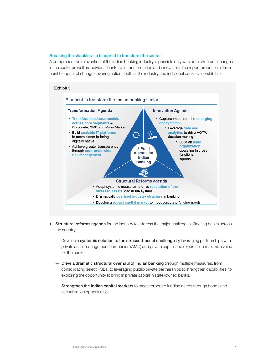#### Breaking the shackles—a blueprint to transform the sector

A comprehensive reinvention of the Indian banking industry is possible only with both structural changes in the sector as well as individual bank-level transformation and innovation. The report proposes a threepoint blueprint of change covering actions both at the industry and individual bank level (Exhibit 5):

#### Exhibit 5 Blueprint to transform the Indian banking sector **Transformation Agenda Innovation Agenda** • Transform business models - Capture value from the emerging across core segments ecosystems Corporate, SME and Mass Market • Leverage data and **- Build scalable IT platforms** analytics to drive HOTW to move closer to being decision making digitally native · Build an agile \* Achieve greater transparency organization 3 Point through enterprise-wide operating in cross-**Agenda for** functional risk management Indian squads **Banking Structural Reforms agenda** - Adopt systemic measures to drive resolution of the stressed assets load in the system - Dramatically overhaul industry structure in banking . Develop a robust capital market to meet corporate funding needs

- Structural reforms agenda for the industry to address the major challenges affecting banks across the country.
	- Develop a systemic solution to the stressed-asset challenge by leveraging partnerships with private asset management companies (AMC) and private capital and expertise to maximize value for the banks.
	- Drive a dramatic structural overhaul of Indian banking through multiple measures, from consolidating select PSBs, to leveraging public-private partnerships to strengthen capabilities, to exploring the opportunity to bring in private capital in state-owned banks.
	- Strengthen the Indian capital markets to meet corporate funding needs through bonds and securitization opportunities.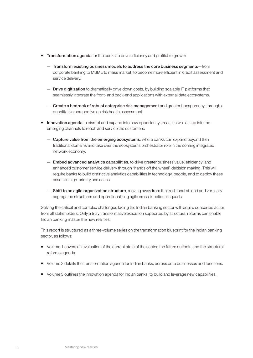- **Transformation agenda** for the banks to drive efficiency and profitable growth
	- Transform existing business models to address the core business segments—from corporate banking to MSME to mass market, to become more efficient in credit assessment and service delivery.
	- Drive digitization to dramatically drive down costs, by building scalable IT platforms that seamlessly integrate the front- and back-end applications with external data ecosystems.
	- Create a bedrock of robust enterprise risk management and greater transparency, through a quantitative perspective on risk health assessment.
- **Innovation agenda** to disrupt and expand into new opportunity areas, as well as tap into the emerging channels to reach and service the customers.
	- Capture value from the emerging ecosystems, where banks can expand beyond their traditional domains and take over the ecosystems orchestrator role in the coming integrated network economy.
	- **Embed advanced analytics capabilities**, to drive greater business value, efficiency, and enhanced customer service delivery through "hands off the wheel" decision making. This will require banks to build distinctive analytics capabilities in technology, people, and to deploy these assets in high-priority use cases.
	- $-$  Shift to an agile organization structure, moving away from the traditional silo-ed and vertically segregated structures and operationalizing agile cross-functional squads.

Solving the critical and complex challenges facing the Indian banking sector will require concerted action from all stakeholders. Only a truly transformative execution supported by structural reforms can enable Indian banking master the new realities.

This report is structured as a three-volume series on the transformation blueprint for the Indian banking sector, as follows:

- Volume 1 covers an evaluation of the current state of the sector, the future outlook, and the structural reforms agenda.
- Volume 2 details the transformation agenda for Indian banks, across core businesses and functions.
- Volume 3 outlines the innovation agenda for Indian banks, to build and leverage new capabilities.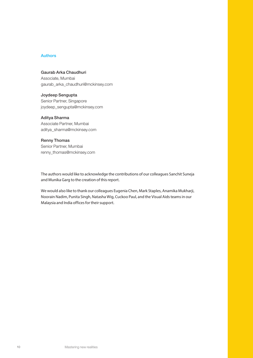## Authors

Gaurab Arka Chaudhuri Associate, Mumbai gaurab\_arka\_chaudhuri@mckinsey.com

Joydeep Sengupta Senior Partner, Singapore joydeep\_sengupta@mckinsey.com

# Aditya Sharma

Associate Partner, Mumbai aditya\_sharma@mckinsey.com

# Renny Thomas

Senior Partner, Mumbai renny\_thomas@mckinsey.com

The authors would like to acknowledge the contributions of our colleagues Sanchit Suneja and Munika Garg to the creation of this report.

We would also like to thank our colleagues Eugenia Chen, Mark Staples, Anamika Mukharji, Noorain Nadim, Punita Singh, Natasha Wig, Cuckoo Paul, and the Visual Aids teams in our Malaysia and India offices for their support.